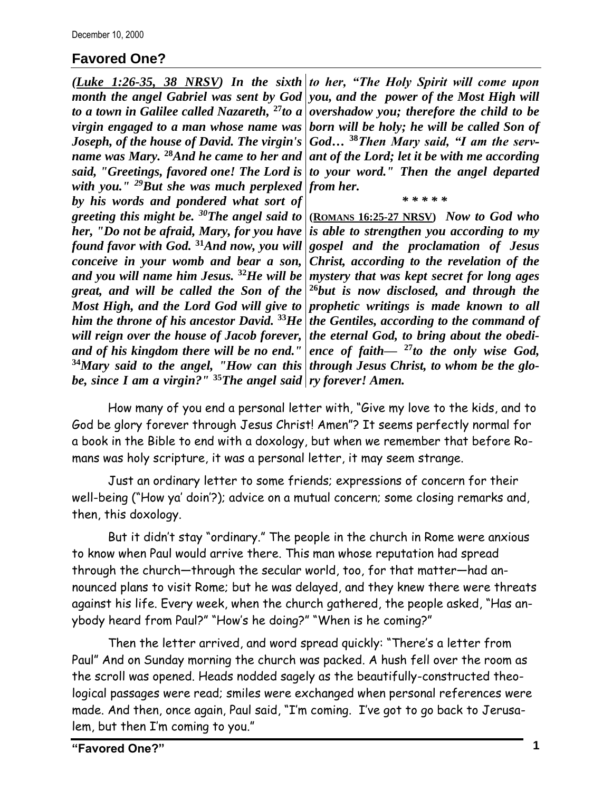## **Favored One?**

*to a town in Galilee called Nazareth,* **<sup>27</sup>***to a virgin engaged to a man whose name was Joseph, of the house of David. The virgin's name was Mary.* **<sup>28</sup>***And he came to her and said, "Greetings, favored one! The Lord is with you." <sup>29</sup>But she was much perplexed from her. by his words and pondered what sort of greeting this might be. <sup>30</sup>The angel said to her, "Do not be afraid, Mary, for you have found favor with God.* **<sup>31</sup>***And now, you will conceive in your womb and bear a son, and you will name him Jesus.* **<sup>32</sup>***He will be great, and will be called the Son of the and of his kingdom there will be no end." be, since I am a virgin?"* **<sup>35</sup>***The angel said ry forever! Amen.*

*(Luke 1:26-35, 38 NRSV) In the sixth to her, "The Holy Spirit will come upon*  month the angel Gabriel was sent by God *| you, and the power of the Most High will overshadow you; therefore the child to be born will be holy; he will be called Son of God…* **<sup>38</sup>***Then Mary said, "I am the servant of the Lord; let it be with me according to your word." Then the angel departed* 

*\* \* \* \* \**

*Most High, and the Lord God will give to prophetic writings is made known to all him the throne of his ancestor David.* **<sup>33</sup>***He the Gentiles, according to the command of will reign over the house of Jacob forever, the eternal God, to bring about the obedi-***<sup>34</sup>***Mary said to the angel, "How can this through Jesus Christ, to whom be the glo-***(ROMANS 16:25-27 NRSV)** *Now to God who is able to strengthen you according to my gospel and the proclamation of Jesus Christ, according to the revelation of the mystery that was kept secret for long ages* **<sup>26</sup>***but is now disclosed, and through the ence of faith—* **<sup>27</sup>***to the only wise God,* 

How many of you end a personal letter with, "Give my love to the kids, and to God be glory forever through Jesus Christ! Amen"? It seems perfectly normal for a book in the Bible to end with a doxology, but when we remember that before Romans was holy scripture, it was a personal letter, it may seem strange.

Just an ordinary letter to some friends; expressions of concern for their well-being ("How ya' doin'?); advice on a mutual concern; some closing remarks and, then, this doxology.

But it didn't stay "ordinary." The people in the church in Rome were anxious to know when Paul would arrive there. This man whose reputation had spread through the church—through the secular world, too, for that matter—had announced plans to visit Rome; but he was delayed, and they knew there were threats against his life. Every week, when the church gathered, the people asked, "Has anybody heard from Paul?" "How's he doing?" "When is he coming?"

Then the letter arrived, and word spread quickly: "There's a letter from Paul" And on Sunday morning the church was packed. A hush fell over the room as the scroll was opened. Heads nodded sagely as the beautifully-constructed theological passages were read; smiles were exchanged when personal references were made. And then, once again, Paul said, "I'm coming. I've got to go back to Jerusalem, but then I'm coming to you."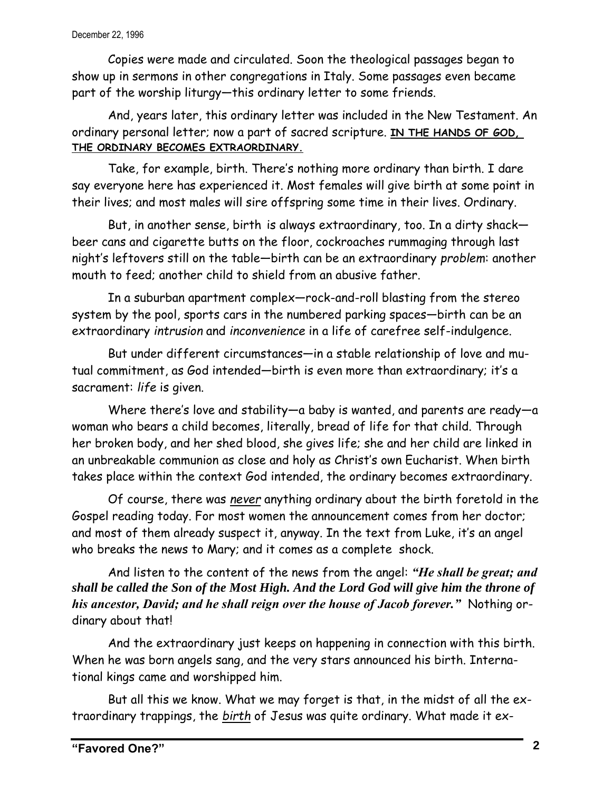Copies were made and circulated. Soon the theological passages began to show up in sermons in other congregations in Italy. Some passages even became part of the worship liturgy—this ordinary letter to some friends.

And, years later, this ordinary letter was included in the New Testament. An ordinary personal letter; now a part of sacred scripture. **IN THE HANDS OF GOD, THE ORDINARY BECOMES EXTRAORDINARY.**

Take, for example, birth. There's nothing more ordinary than birth. I dare say everyone here has experienced it. Most females will give birth at some point in their lives; and most males will sire offspring some time in their lives. Ordinary.

But, in another sense, birth is always extraordinary, too. In a dirty shack beer cans and cigarette butts on the floor, cockroaches rummaging through last night's leftovers still on the table—birth can be an extraordinary *problem*: another mouth to feed; another child to shield from an abusive father.

In a suburban apartment complex—rock-and-roll blasting from the stereo system by the pool, sports cars in the numbered parking spaces—birth can be an extraordinary *intrusion* and *inconvenience* in a life of carefree self-indulgence.

But under different circumstances—in a stable relationship of love and mutual commitment, as God intended—birth is even more than extraordinary; it's a sacrament: *life* is given.

Where there's love and stability—a baby is wanted, and parents are ready—a woman who bears a child becomes, literally, bread of life for that child. Through her broken body, and her shed blood, she gives life; she and her child are linked in an unbreakable communion as close and holy as Christ's own Eucharist. When birth takes place within the context God intended, the ordinary becomes extraordinary.

Of course, there was *never* anything ordinary about the birth foretold in the Gospel reading today. For most women the announcement comes from her doctor; and most of them already suspect it, anyway. In the text from Luke, it's an angel who breaks the news to Mary; and it comes as a complete shock.

And listen to the content of the news from the angel: *"He shall be great; and shall be called the Son of the Most High. And the Lord God will give him the throne of his ancestor, David; and he shall reign over the house of Jacob forever."* Nothing ordinary about that!

And the extraordinary just keeps on happening in connection with this birth. When he was born angels sang, and the very stars announced his birth. International kings came and worshipped him.

But all this we know. What we may forget is that, in the midst of all the extraordinary trappings, the *birth* of Jesus was quite ordinary. What made it ex-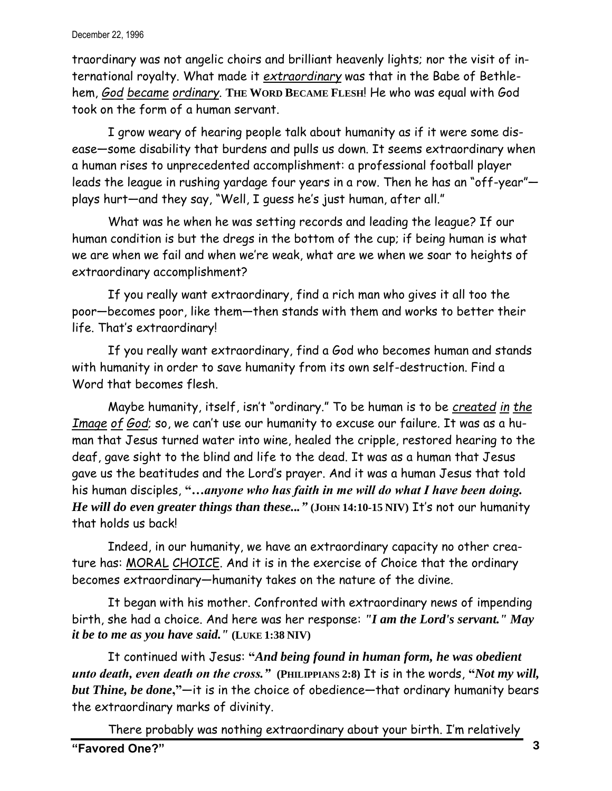traordinary was not angelic choirs and brilliant heavenly lights; nor the visit of international royalty. What made it *extraordinary* was that in the Babe of Bethlehem, *God became ordinary*. **THE WORD BECAME FLESH**! He who was equal with God took on the form of a human servant.

I grow weary of hearing people talk about humanity as if it were some disease—some disability that burdens and pulls us down. It seems extraordinary when a human rises to unprecedented accomplishment: a professional football player leads the league in rushing yardage four years in a row. Then he has an "off-year" plays hurt—and they say, "Well, I guess he's just human, after all."

What was he when he was setting records and leading the league? If our human condition is but the dregs in the bottom of the cup; if being human is what we are when we fail and when we're weak, what are we when we soar to heights of extraordinary accomplishment?

If you really want extraordinary, find a rich man who gives it all too the poor—becomes poor, like them—then stands with them and works to better their life. That's extraordinary!

If you really want extraordinary, find a God who becomes human and stands with humanity in order to save humanity from its own self-destruction. Find a Word that becomes flesh.

Maybe humanity, itself, isn't "ordinary." To be human is to be *created in the Image of God*; so, we can't use our humanity to excuse our failure. It was as a human that Jesus turned water into wine, healed the cripple, restored hearing to the deaf, gave sight to the blind and life to the dead. It was as a human that Jesus gave us the beatitudes and the Lord's prayer. And it was a human Jesus that told his human disciples, **"***…anyone who has faith in me will do what I have been doing. He will do even greater things than these..."* **(JOHN 14:10-15 NIV)** It's not our humanity that holds us back!

Indeed, in our humanity, we have an extraordinary capacity no other creature has: MORAL CHOICE. And it is in the exercise of Choice that the ordinary becomes extraordinary—humanity takes on the nature of the divine.

It began with his mother. Confronted with extraordinary news of impending birth, she had a choice. And here was her response: *"I am the Lord's servant." May it be to me as you have said."* **(LUKE 1:38 NIV)** 

It continued with Jesus: **"***And being found in human form, he was obedient unto death, even death on the cross."* **(PHILIPPIANS 2:8)** It is in the words, **"***Not my will, but Thine, be done***,"**—it is in the choice of obedience—that ordinary humanity bears the extraordinary marks of divinity.

**"Favored One?" 3** There probably was nothing extraordinary about your birth. I'm relatively